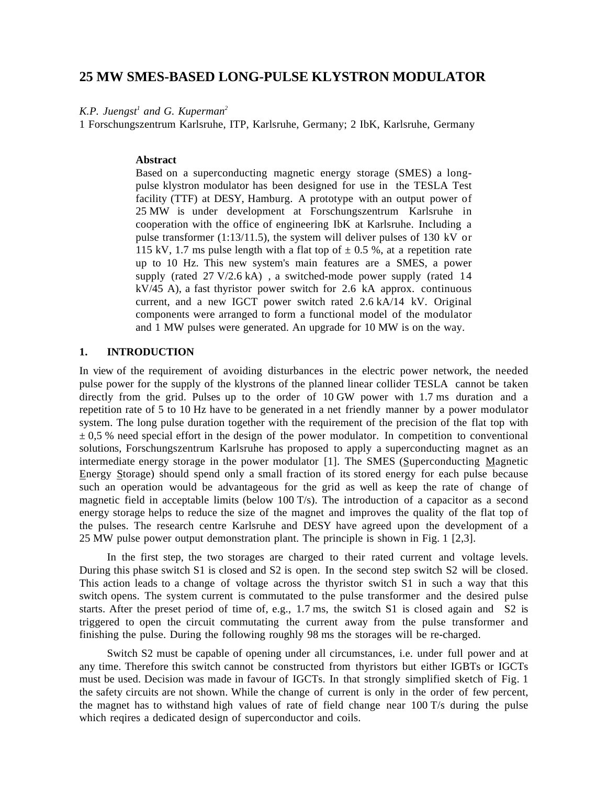# **25 MW SMES-BASED LONG-PULSE KLYSTRON MODULATOR**

*K.P. Juengst<sup>1</sup> and G. Kuperman<sup>2</sup>*

1 Forschungszentrum Karlsruhe, ITP, Karlsruhe, Germany; 2 IbK, Karlsruhe, Germany

#### **Abstract**

Based on a superconducting magnetic energy storage (SMES) a longpulse klystron modulator has been designed for use in the TESLA Test facility (TTF) at DESY, Hamburg. A prototype with an output power of 25 MW is under development at Forschungszentrum Karlsruhe in cooperation with the office of engineering IbK at Karlsruhe. Including a pulse transformer (1:13/11.5), the system will deliver pulses of 130 kV or 115 kV, 1.7 ms pulse length with a flat top of  $\pm$  0.5 %, at a repetition rate up to 10 Hz. This new system's main features are a SMES, a power supply (rated 27 V/2.6 kA) , a switched-mode power supply (rated 14 kV/45 A), a fast thyristor power switch for 2.6 kA approx. continuous current, and a new IGCT power switch rated 2.6 kA/14 kV. Original components were arranged to form a functional model of the modulator and 1 MW pulses were generated. An upgrade for 10 MW is on the way.

### **1. INTRODUCTION**

In view of the requirement of avoiding disturbances in the electric power network, the needed pulse power for the supply of the klystrons of the planned linear collider TESLA cannot be taken directly from the grid. Pulses up to the order of 10 GW power with 1.7 ms duration and a repetition rate of 5 to 10 Hz have to be generated in a net friendly manner by a power modulator system. The long pulse duration together with the requirement of the precision of the flat top with  $\pm$  0,5 % need special effort in the design of the power modulator. In competition to conventional solutions, Forschungszentrum Karlsruhe has proposed to apply a superconducting magnet as an intermediate energy storage in the power modulator [1]. The SMES (Superconducting Magnetic Energy Storage) should spend only a small fraction of its stored energy for each pulse because such an operation would be advantageous for the grid as well as keep the rate of change of magnetic field in acceptable limits (below 100 T/s). The introduction of a capacitor as a second energy storage helps to reduce the size of the magnet and improves the quality of the flat top of the pulses. The research centre Karlsruhe and DESY have agreed upon the development of a 25 MW pulse power output demonstration plant. The principle is shown in Fig. 1 [2,3].

In the first step, the two storages are charged to their rated current and voltage levels. During this phase switch S1 is closed and S2 is open. In the second step switch S2 will be closed. This action leads to a change of voltage across the thyristor switch S1 in such a way that this switch opens. The system current is commutated to the pulse transformer and the desired pulse starts. After the preset period of time of, e.g., 1.7 ms, the switch S1 is closed again and S2 is triggered to open the circuit commutating the current away from the pulse transformer and finishing the pulse. During the following roughly 98 ms the storages will be re-charged.

Switch S2 must be capable of opening under all circumstances, i.e. under full power and at any time. Therefore this switch cannot be constructed from thyristors but either IGBTs or IGCTs must be used. Decision was made in favour of IGCTs. In that strongly simplified sketch of Fig. 1 the safety circuits are not shown. While the change of current is only in the order of few percent, the magnet has to withstand high values of rate of field change near 100 T/s during the pulse which reqires a dedicated design of superconductor and coils.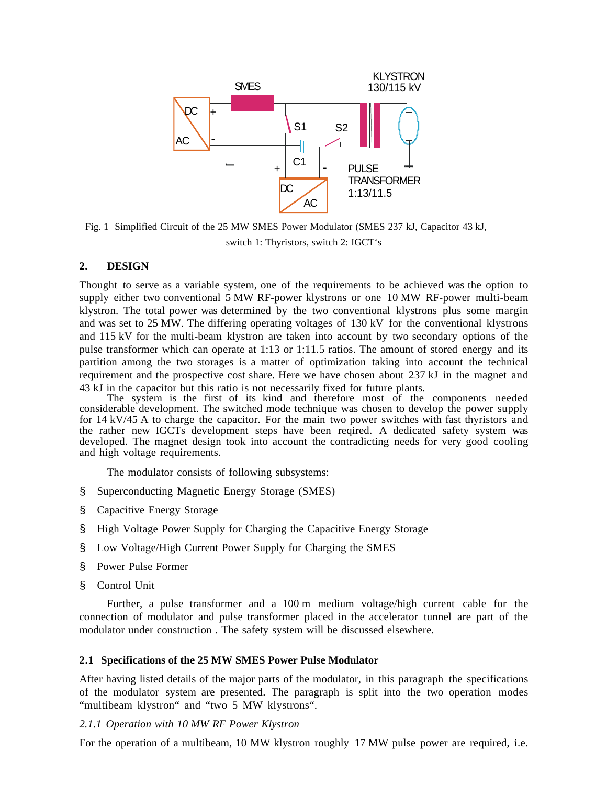

Fig. 1 Simplified Circuit of the 25 MW SMES Power Modulator (SMES 237 kJ, Capacitor 43 kJ, switch 1: Thyristors, switch 2: IGCT's

# **2. DESIGN**

Thought to serve as a variable system, one of the requirements to be achieved was the option to supply either two conventional 5 MW RF-power klystrons or one 10 MW RF-power multi-beam klystron. The total power was determined by the two conventional klystrons plus some margin and was set to 25 MW. The differing operating voltages of 130 kV for the conventional klystrons and 115 kV for the multi-beam klystron are taken into account by two secondary options of the pulse transformer which can operate at 1:13 or 1:11.5 ratios. The amount of stored energy and its partition among the two storages is a matter of optimization taking into account the technical requirement and the prospective cost share. Here we have chosen about 237 kJ in the magnet and 43 kJ in the capacitor but this ratio is not necessarily fixed for future plants.

The system is the first of its kind and therefore most of the components needed considerable development. The switched mode technique was chosen to develop the power supply for 14 kV/45 A to charge the capacitor. For the main two power switches with fast thyristors and the rather new IGCTs development steps have been reqired. A dedicated safety system was developed. The magnet design took into account the contradicting needs for very good cooling and high voltage requirements.

The modulator consists of following subsystems:

- § Superconducting Magnetic Energy Storage (SMES)
- § Capacitive Energy Storage
- § High Voltage Power Supply for Charging the Capacitive Energy Storage
- § Low Voltage/High Current Power Supply for Charging the SMES
- § Power Pulse Former
- § Control Unit

Further, a pulse transformer and a 100 m medium voltage/high current cable for the connection of modulator and pulse transformer placed in the accelerator tunnel are part of the modulator under construction . The safety system will be discussed elsewhere.

### **2.1 Specifications of the 25 MW SMES Power Pulse Modulator**

After having listed details of the major parts of the modulator, in this paragraph the specifications of the modulator system are presented. The paragraph is split into the two operation modes "multibeam klystron" and "two 5 MW klystrons".

### *2.1.1 Operation with 10 MW RF Power Klystron*

For the operation of a multibeam, 10 MW klystron roughly 17 MW pulse power are required, i.e.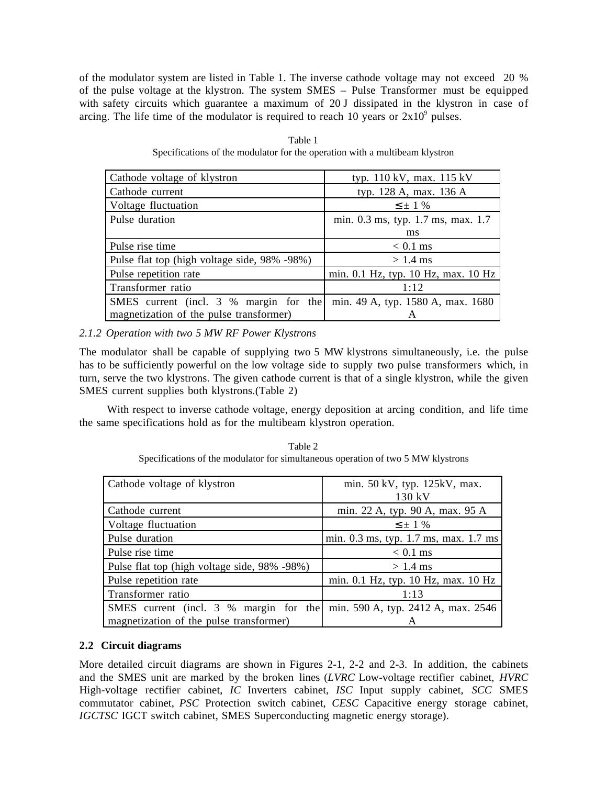of the modulator system are listed in Table 1. The inverse cathode voltage may not exceed 20 % of the pulse voltage at the klystron. The system SMES – Pulse Transformer must be equipped with safety circuits which guarantee a maximum of 20 J dissipated in the klystron in case of arcing. The life time of the modulator is required to reach 10 years or  $2x10^9$  pulses.

| Cathode voltage of klystron                  | typ. 110 kV, max. 115 kV            |
|----------------------------------------------|-------------------------------------|
| Cathode current                              | typ. 128 A, max. 136 A              |
| Voltage fluctuation                          | $\leq \pm 1$ %                      |
| Pulse duration                               | min. 0.3 ms, typ. 1.7 ms, max. 1.7  |
|                                              | ms                                  |
| Pulse rise time                              | $< 0.1$ ms                          |
| Pulse flat top (high voltage side, 98% -98%) | $> 1.4$ ms                          |
| Pulse repetition rate                        | min. 0.1 Hz, typ. 10 Hz, max. 10 Hz |
| Transformer ratio                            | 1:12                                |
| SMES current (incl. 3 % margin for the       | min. 49 A, typ. 1580 A, max. 1680   |
| magnetization of the pulse transformer)      | A                                   |

Table 1 Specifications of the modulator for the operation with a multibeam klystron

*2.1.2 Operation with two 5 MW RF Power Klystrons*

The modulator shall be capable of supplying two 5 MW klystrons simultaneously, i.e. the pulse has to be sufficiently powerful on the low voltage side to supply two pulse transformers which, in turn, serve the two klystrons. The given cathode current is that of a single klystron, while the given SMES current supplies both klystrons.(Table 2)

With respect to inverse cathode voltage, energy deposition at arcing condition, and life time the same specifications hold as for the multibeam klystron operation.

| Table 2                                                                          |  |
|----------------------------------------------------------------------------------|--|
| Specifications of the modulator for simultaneous operation of two 5 MW klystrons |  |

| Cathode voltage of klystron                  | min. 50 kV, typ. 125kV, max.<br>130 kV |
|----------------------------------------------|----------------------------------------|
| Cathode current                              | min. 22 A, typ. 90 A, max. 95 A        |
| Voltage fluctuation                          | $\leq \pm 1$ %                         |
| Pulse duration                               | min. 0.3 ms, typ. 1.7 ms, max. 1.7 ms  |
| Pulse rise time                              | $< 0.1$ ms                             |
| Pulse flat top (high voltage side, 98% -98%) | $> 1.4$ ms                             |
| Pulse repetition rate                        | min. 0.1 Hz, typ. 10 Hz, max. 10 Hz    |
| Transformer ratio                            | 1:13                                   |
| SMES current (incl. 3 % margin for the       | min. 590 A, typ. 2412 A, max. 2546     |
| magnetization of the pulse transformer)      | A                                      |

# **2.2 Circuit diagrams**

More detailed circuit diagrams are shown in Figures 2-1, 2-2 and 2-3. In addition, the cabinets and the SMES unit are marked by the broken lines (*LVRC* Low-voltage rectifier cabinet, *HVRC* High-voltage rectifier cabinet, *IC* Inverters cabinet, *ISC* Input supply cabinet, *SCC* SMES commutator cabinet, *PSC* Protection switch cabinet, *CESC* Capacitive energy storage cabinet, *IGCTSC* IGCT switch cabinet, SMES Superconducting magnetic energy storage).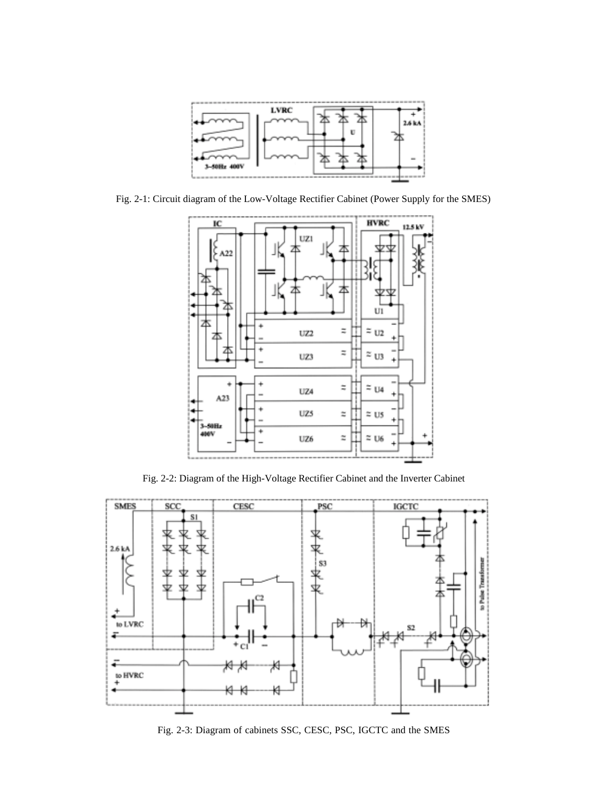

Fig. 2-1: Circuit diagram of the Low-Voltage Rectifier Cabinet (Power Supply for the SMES)



Fig. 2-2: Diagram of the High-Voltage Rectifier Cabinet and the Inverter Cabinet



Fig. 2-3: Diagram of cabinets SSC, CESC, PSC, IGCTC and the SMES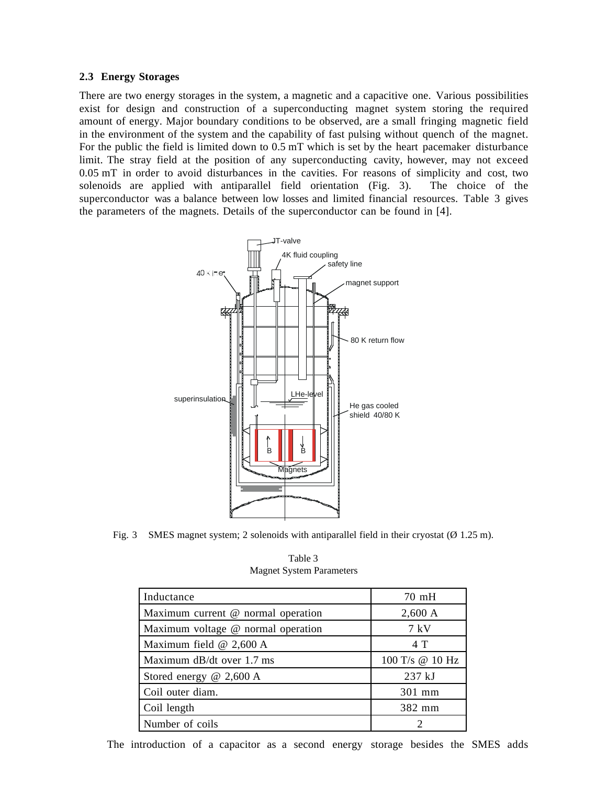#### **2.3 Energy Storages**

There are two energy storages in the system, a magnetic and a capacitive one. Various possibilities exist for design and construction of a superconducting magnet system storing the required amount of energy. Major boundary conditions to be observed, are a small fringing magnetic field in the environment of the system and the capability of fast pulsing without quench of the magnet. For the public the field is limited down to 0.5 mT which is set by the heart pacemaker disturbance limit. The stray field at the position of any superconducting cavity, however, may not exceed 0.05 mT in order to avoid disturbances in the cavities. For reasons of simplicity and cost, two solenoids are applied with antiparallel field orientation (Fig. 3). The choice of the superconductor was a balance between low losses and limited financial resources. Table 3 gives the parameters of the magnets. Details of the superconductor can be found in [4].



Fig. 3 SMES magnet system; 2 solenoids with antiparallel field in their cryostat ( $\varnothing$  1.25 m).

Table 3 Magnet System Parameters

| Inductance                         | $70 \text{ mH}$ |
|------------------------------------|-----------------|
| Maximum current @ normal operation | 2,600 A         |
| Maximum voltage @ normal operation | 7 kV            |
| Maximum field $@$ 2,600 A          | 4 T             |
| Maximum dB/dt over 1.7 ms          | 100 T/s @ 10 Hz |
| Stored energy $@$ 2,600 A          | 237 kJ          |
| Coil outer diam.                   | 301 mm          |
| Coil length                        | 382 mm          |
| Number of coils                    |                 |

The introduction of a capacitor as a second energy storage besides the SMES adds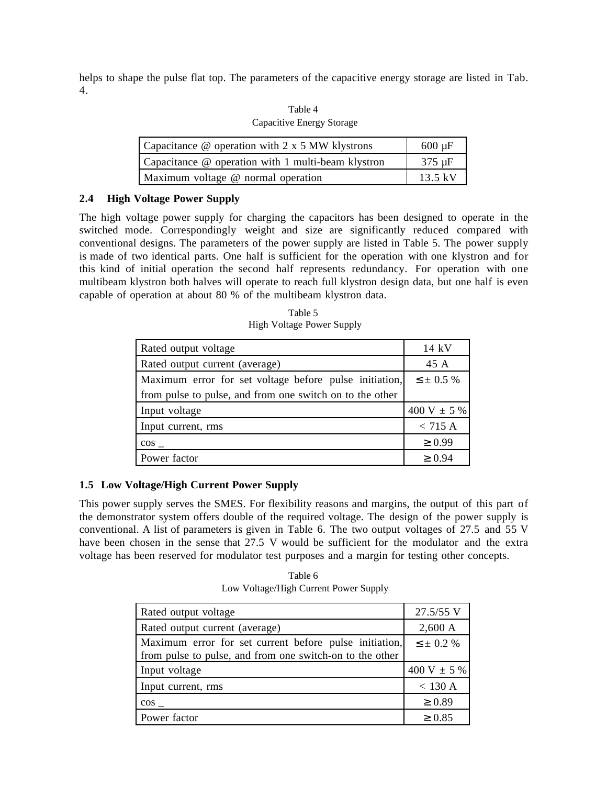helps to shape the pulse flat top. The parameters of the capacitive energy storage are listed in Tab. 4.

| Table 4                   |
|---------------------------|
| Capacitive Energy Storage |

| Capacitance $\omega$ operation with 2 x 5 MW klystrons | $600 \mu F$       |
|--------------------------------------------------------|-------------------|
| Capacitance @ operation with 1 multi-beam klystron     | $375 \mu F$       |
| Maximum voltage @ normal operation                     | $13.5 \text{ kV}$ |

## **2.4 High Voltage Power Supply**

The high voltage power supply for charging the capacitors has been designed to operate in the switched mode. Correspondingly weight and size are significantly reduced compared with conventional designs. The parameters of the power supply are listed in Table 5. The power supply is made of two identical parts. One half is sufficient for the operation with one klystron and for this kind of initial operation the second half represents redundancy. For operation with one multibeam klystron both halves will operate to reach full klystron design data, but one half is even capable of operation at about 80 % of the multibeam klystron data.

Table 5 High Voltage Power Supply

| Rated output voltage                                     | 14 kV             |
|----------------------------------------------------------|-------------------|
| Rated output current (average)                           | 45 A              |
| Maximum error for set voltage before pulse initiation,   | $\leq \pm 0.5 \%$ |
| from pulse to pulse, and from one switch on to the other |                   |
| Input voltage                                            | 400 V $\pm$ 5 %   |
| Input current, rms                                       | $<$ 715 A         |
| $\cos$                                                   | $\geq 0.99$       |
| Power factor                                             | $\geq 0.94$       |

# **1.5 Low Voltage/High Current Power Supply**

This power supply serves the SMES. For flexibility reasons and margins, the output of this part of the demonstrator system offers double of the required voltage. The design of the power supply is conventional. A list of parameters is given in Table 6. The two output voltages of 27.5 and 55 V have been chosen in the sense that 27.5 V would be sufficient for the modulator and the extra voltage has been reserved for modulator test purposes and a margin for testing other concepts.

Table 6 Low Voltage/High Current Power Supply

| Rated output voltage                                                                                               | 27.5/55 V         |
|--------------------------------------------------------------------------------------------------------------------|-------------------|
| Rated output current (average)                                                                                     | $2,600 \text{ A}$ |
| Maximum error for set current before pulse initiation,<br>from pulse to pulse, and from one switch-on to the other | $\leq \pm 0.2 \%$ |
| Input voltage                                                                                                      | 400 V $\pm$ 5 %   |
| Input current, rms                                                                                                 | $<$ 130 A         |
| $\cos$                                                                                                             | $\geq 0.89$       |
| Power factor                                                                                                       | $\geq 0.85$       |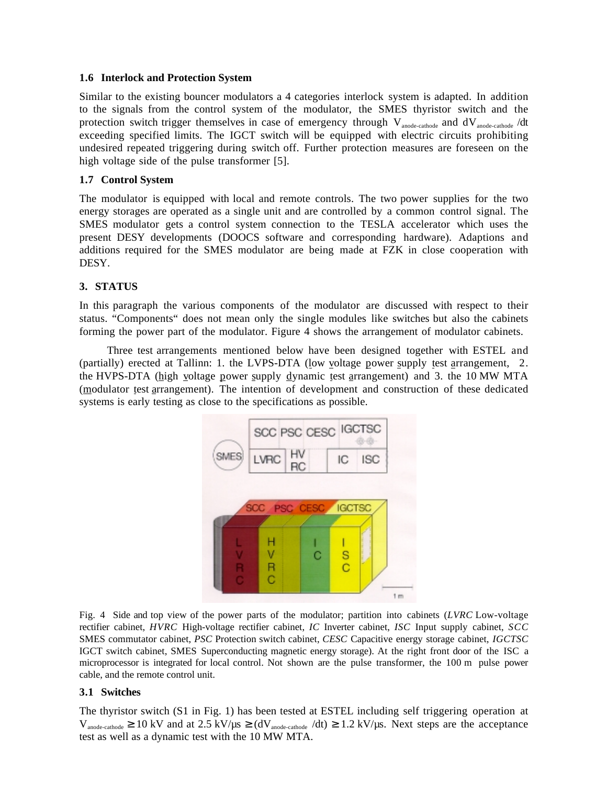### **1.6 Interlock and Protection System**

Similar to the existing bouncer modulators a 4 categories interlock system is adapted. In addition to the signals from the control system of the modulator, the SMES thyristor switch and the protection switch trigger themselves in case of emergency through V<sub>anode-cathode</sub> and dV<sub>anode-cathode</sub> /dt exceeding specified limits. The IGCT switch will be equipped with electric circuits prohibiting undesired repeated triggering during switch off. Further protection measures are foreseen on the high voltage side of the pulse transformer [5].

### **1.7 Control System**

The modulator is equipped with local and remote controls. The two power supplies for the two energy storages are operated as a single unit and are controlled by a common control signal. The SMES modulator gets a control system connection to the TESLA accelerator which uses the present DESY developments (DOOCS software and corresponding hardware). Adaptions and additions required for the SMES modulator are being made at FZK in close cooperation with DESY.

# **3. STATUS**

In this paragraph the various components of the modulator are discussed with respect to their status. "Components" does not mean only the single modules like switches but also the cabinets forming the power part of the modulator. Figure 4 shows the arrangement of modulator cabinets.

Three test arrangements mentioned below have been designed together with ESTEL and (partially) erected at Tallinn: 1. the LVPS-DTA (low voltage power supply test arrangement, 2. the HVPS-DTA (high voltage power supply dynamic test arrangement) and 3. the 10 MW MTA (modulator test arrangement). The intention of development and construction of these dedicated systems is early testing as close to the specifications as possible.



Fig. 4 Side and top view of the power parts of the modulator; partition into cabinets (*LVRC* Low-voltage rectifier cabinet, *HVRC* High-voltage rectifier cabinet, *IC* Inverter cabinet, *ISC* Input supply cabinet, *SCC* SMES commutator cabinet, *PSC* Protection switch cabinet, *CESC* Capacitive energy storage cabinet, *IGCTSC* IGCT switch cabinet, SMES Superconducting magnetic energy storage). At the right front door of the ISC a microprocessor is integrated for local control. Not shown are the pulse transformer, the 100 m pulse power cable, and the remote control unit.

### **3.1 Switches**

The thyristor switch (S1 in Fig. 1) has been tested at ESTEL including self triggering operation at  $V_{\text{anode-cathode}} \ge 10 \text{ kV}$  and at 2.5 kV/ $\mu$ s  $\ge$  (dV<sub>anode-cathode</sub> /dt)  $\ge 1.2$  kV/ $\mu$ s. Next steps are the acceptance test as well as a dynamic test with the 10 MW MTA.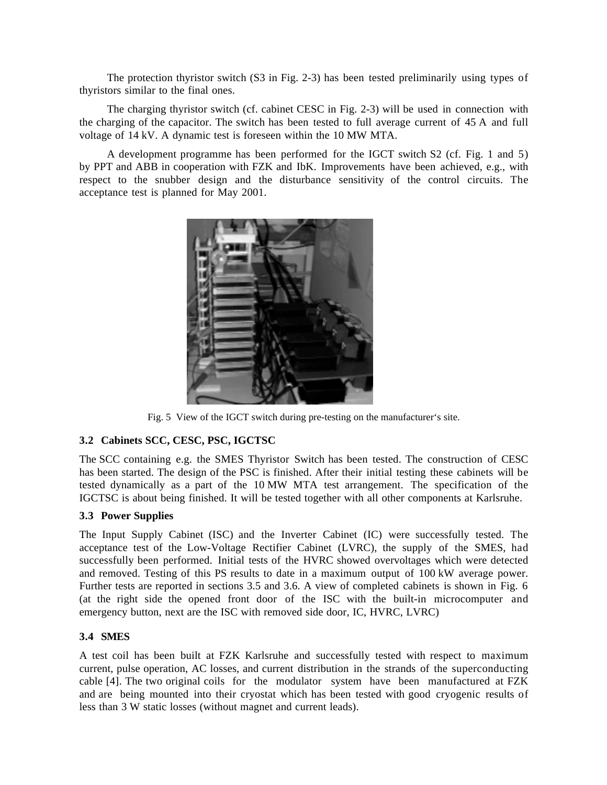The protection thyristor switch (S3 in Fig. 2-3) has been tested preliminarily using types of thyristors similar to the final ones.

The charging thyristor switch (cf. cabinet CESC in Fig. 2-3) will be used in connection with the charging of the capacitor. The switch has been tested to full average current of 45 A and full voltage of 14 kV. A dynamic test is foreseen within the 10 MW MTA.

A development programme has been performed for the IGCT switch S2 (cf. Fig. 1 and 5) by PPT and ABB in cooperation with FZK and IbK. Improvements have been achieved, e.g., with respect to the snubber design and the disturbance sensitivity of the control circuits. The acceptance test is planned for May 2001.



Fig. 5 View of the IGCT switch during pre-testing on the manufacturer's site.

# **3.2 Cabinets SCC, CESC, PSC, IGCTSC**

The SCC containing e.g. the SMES Thyristor Switch has been tested. The construction of CESC has been started. The design of the PSC is finished. After their initial testing these cabinets will be tested dynamically as a part of the 10 MW MTA test arrangement. The specification of the IGCTSC is about being finished. It will be tested together with all other components at Karlsruhe.

# **3.3 Power Supplies**

The Input Supply Cabinet (ISC) and the Inverter Cabinet (IC) were successfully tested. The acceptance test of the Low-Voltage Rectifier Cabinet (LVRC), the supply of the SMES, had successfully been performed. Initial tests of the HVRC showed overvoltages which were detected and removed. Testing of this PS results to date in a maximum output of 100 kW average power. Further tests are reported in sections 3.5 and 3.6. A view of completed cabinets is shown in Fig. 6 (at the right side the opened front door of the ISC with the built-in microcomputer and emergency button, next are the ISC with removed side door, IC, HVRC, LVRC)

# **3.4 SMES**

A test coil has been built at FZK Karlsruhe and successfully tested with respect to maximum current, pulse operation, AC losses, and current distribution in the strands of the superconducting cable [4]. The two original coils for the modulator system have been manufactured at FZK and are being mounted into their cryostat which has been tested with good cryogenic results of less than 3 W static losses (without magnet and current leads).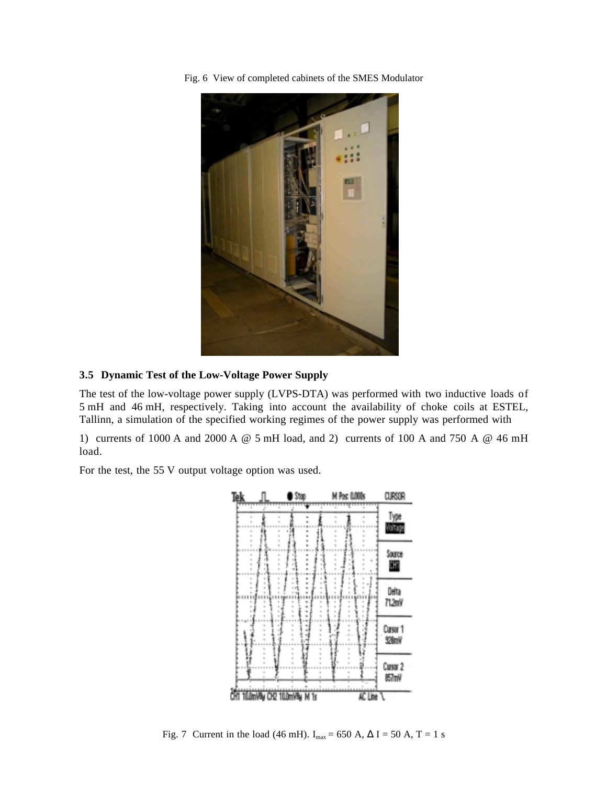Fig. 6 View of completed cabinets of the SMES Modulator



### **3.5 Dynamic Test of the Low-Voltage Power Supply**

The test of the low-voltage power supply (LVPS-DTA) was performed with two inductive loads of 5 mH and 46 mH, respectively. Taking into account the availability of choke coils at ESTEL, Tallinn, a simulation of the specified working regimes of the power supply was performed with

1) currents of 1000 A and 2000 A @ 5 mH load, and 2) currents of 100 A and 750 A @ 46 mH load.

For the test, the 55 V output voltage option was used.



Fig. 7 Current in the load (46 mH).  $I_{max} = 650$  A,  $\Delta I = 50$  A, T = 1 s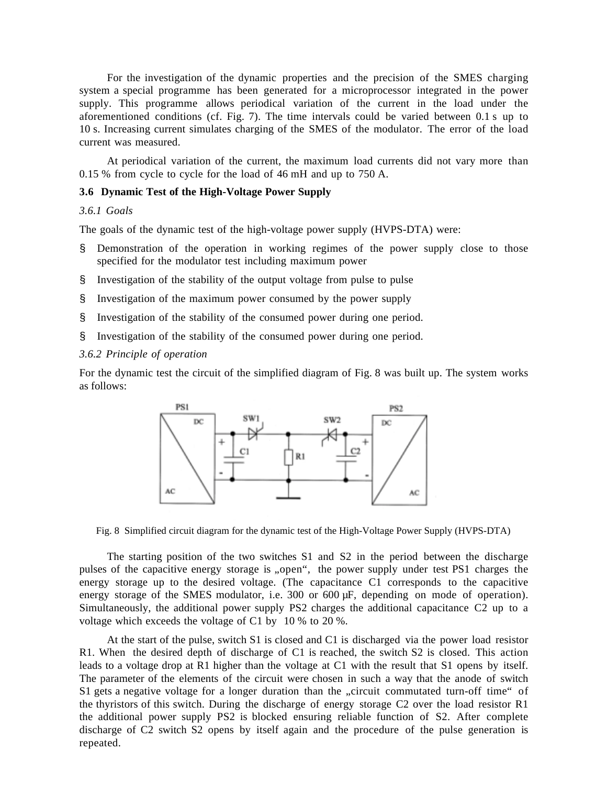For the investigation of the dynamic properties and the precision of the SMES charging system a special programme has been generated for a microprocessor integrated in the power supply. This programme allows periodical variation of the current in the load under the aforementioned conditions (cf. Fig. 7). The time intervals could be varied between 0.1 s up to 10 s. Increasing current simulates charging of the SMES of the modulator. The error of the load current was measured.

At periodical variation of the current, the maximum load currents did not vary more than 0.15 % from cycle to cycle for the load of 46 mH and up to 750 A.

# **3.6 Dynamic Test of the High-Voltage Power Supply**

### *3.6.1 Goals*

The goals of the dynamic test of the high-voltage power supply (HVPS-DTA) were:

- Demonstration of the operation in working regimes of the power supply close to those specified for the modulator test including maximum power
- § Investigation of the stability of the output voltage from pulse to pulse
- § Investigation of the maximum power consumed by the power supply
- § Investigation of the stability of the consumed power during one period.
- § Investigation of the stability of the consumed power during one period.

#### *3.6.2 Principle of operation*

For the dynamic test the circuit of the simplified diagram of Fig. 8 was built up. The system works as follows:



Fig. 8 Simplified circuit diagram for the dynamic test of the High-Voltage Power Supply (HVPS-DTA)

The starting position of the two switches S1 and S2 in the period between the discharge pulses of the capacitive energy storage is "open", the power supply under test PS1 charges the energy storage up to the desired voltage. (The capacitance C1 corresponds to the capacitive energy storage of the SMES modulator, i.e. 300 or 600 µF, depending on mode of operation). Simultaneously, the additional power supply PS2 charges the additional capacitance C2 up to a voltage which exceeds the voltage of C1 by 10 % to 20 %.

At the start of the pulse, switch S1 is closed and C1 is discharged via the power load resistor R1. When the desired depth of discharge of C1 is reached, the switch S2 is closed. This action leads to a voltage drop at R1 higher than the voltage at C1 with the result that S1 opens by itself. The parameter of the elements of the circuit were chosen in such a way that the anode of switch S1 gets a negative voltage for a longer duration than the "circuit commutated turn-off time" of the thyristors of this switch. During the discharge of energy storage C2 over the load resistor R1 the additional power supply PS2 is blocked ensuring reliable function of S2. After complete discharge of C2 switch S2 opens by itself again and the procedure of the pulse generation is repeated.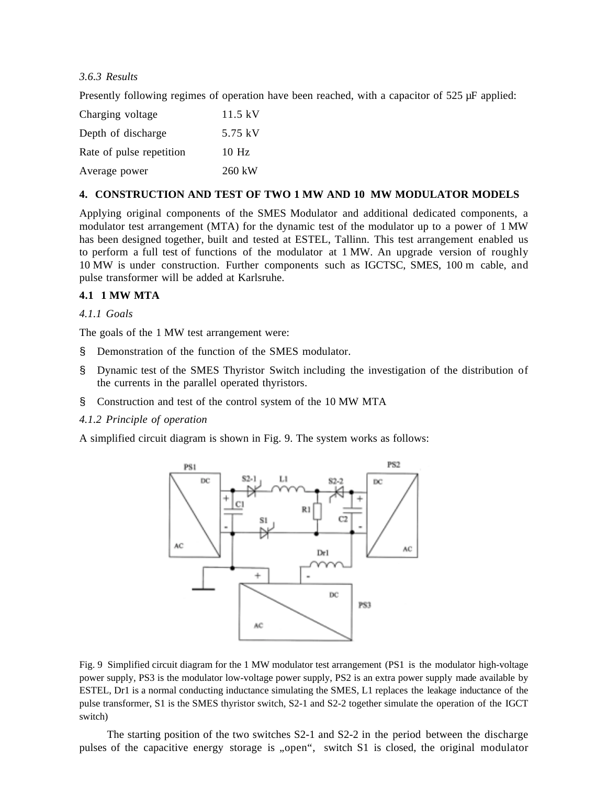# *3.6.3 Results*

Presently following regimes of operation have been reached, with a capacitor of 525  $\mu$ F applied:

| Charging voltage         | $11.5 \text{ kV}$ |
|--------------------------|-------------------|
| Depth of discharge       | 5.75 kV           |
| Rate of pulse repetition | $10$ Hz           |
| Average power            | 260 kW            |

### **4. CONSTRUCTION AND TEST OF TWO 1 MW AND 10 MW MODULATOR MODELS**

Applying original components of the SMES Modulator and additional dedicated components, a modulator test arrangement (MTA) for the dynamic test of the modulator up to a power of 1 MW has been designed together, built and tested at ESTEL, Tallinn. This test arrangement enabled us to perform a full test of functions of the modulator at 1 MW. An upgrade version of roughly 10 MW is under construction. Further components such as IGCTSC, SMES, 100 m cable, and pulse transformer will be added at Karlsruhe.

## **4.1 1 MW MTA**

### *4.1.1 Goals*

The goals of the 1 MW test arrangement were:

- § Demonstration of the function of the SMES modulator.
- § Dynamic test of the SMES Thyristor Switch including the investigation of the distribution of the currents in the parallel operated thyristors.
- § Construction and test of the control system of the 10 MW MTA
- *4.1.2 Principle of operation*

A simplified circuit diagram is shown in Fig. 9. The system works as follows:



Fig. 9 Simplified circuit diagram for the 1 MW modulator test arrangement (PS1 is the modulator high-voltage power supply, PS3 is the modulator low-voltage power supply, PS2 is an extra power supply made available by ESTEL, Dr1 is a normal conducting inductance simulating the SMES, L1 replaces the leakage inductance of the pulse transformer, S1 is the SMES thyristor switch, S2-1 and S2-2 together simulate the operation of the IGCT switch)

The starting position of the two switches S2-1 and S2-2 in the period between the discharge pulses of the capacitive energy storage is "open", switch S1 is closed, the original modulator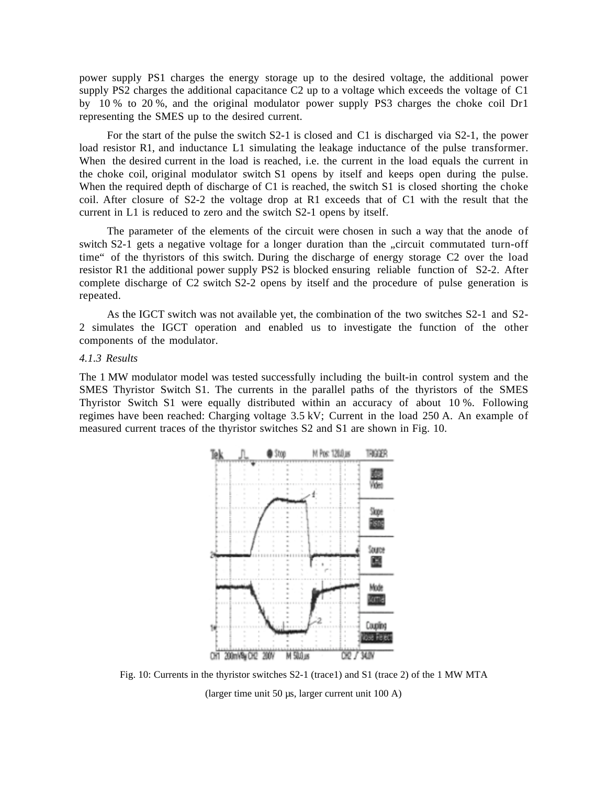power supply PS1 charges the energy storage up to the desired voltage, the additional power supply PS2 charges the additional capacitance C2 up to a voltage which exceeds the voltage of C1 by 10 % to 20 %, and the original modulator power supply PS3 charges the choke coil Dr1 representing the SMES up to the desired current.

For the start of the pulse the switch S2-1 is closed and C1 is discharged via S2-1, the power load resistor R1, and inductance L1 simulating the leakage inductance of the pulse transformer. When the desired current in the load is reached, i.e. the current in the load equals the current in the choke coil, original modulator switch S1 opens by itself and keeps open during the pulse. When the required depth of discharge of C1 is reached, the switch S1 is closed shorting the choke coil. After closure of S2-2 the voltage drop at R1 exceeds that of C1 with the result that the current in L1 is reduced to zero and the switch S2-1 opens by itself.

The parameter of the elements of the circuit were chosen in such a way that the anode of switch S2-1 gets a negative voltage for a longer duration than the "circuit commutated turn-off time" of the thyristors of this switch. During the discharge of energy storage C2 over the load resistor R1 the additional power supply PS2 is blocked ensuring reliable function of S2-2. After complete discharge of C2 switch S2-2 opens by itself and the procedure of pulse generation is repeated.

As the IGCT switch was not available yet, the combination of the two switches S2-1 and S2- 2 simulates the IGCT operation and enabled us to investigate the function of the other components of the modulator.

#### *4.1.3 Results*

The 1 MW modulator model was tested successfully including the built-in control system and the SMES Thyristor Switch S1. The currents in the parallel paths of the thyristors of the SMES Thyristor Switch S1 were equally distributed within an accuracy of about 10 %. Following regimes have been reached: Charging voltage 3.5 kV; Current in the load 250 A. An example of measured current traces of the thyristor switches S2 and S1 are shown in Fig. 10.



Fig. 10: Currents in the thyristor switches S2-1 (trace1) and S1 (trace 2) of the 1 MW MTA (larger time unit 50 µs, larger current unit 100 A)